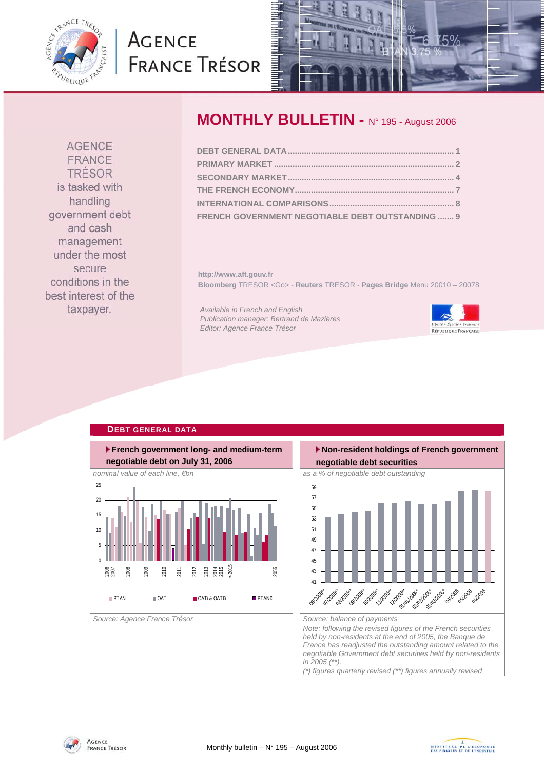<span id="page-0-0"></span>

# **AGENCE FRANCE TRÉSOR**



## **MONTHLY BULLETIN - N° 195 - August 2006**

| FRENCH GOVERNMENT NEGOTIABLE DEBT OUTSTANDING  9 |  |
|--------------------------------------------------|--|

**http://www.aft.gouv.fr Bloomberg** TRESOR <Go> - **Reuters** TRESOR - **Pages Bridge** Menu 20010 – 20078

*Available in French and English Publication manager: Bertrand de Mazières Editor: Agence France Trésor* 



#### **DEBT GENERAL DATA French government long- and medium-term negotiable debt on July 31, 2006**  nominal value of each line, €bn as a matrix of as a % of negotiable debt outstanding Source: Agence France Trésor **Source: balance of payments** Source: balance of payments  $\overline{0}$ 5 10 15  $20$ 25 2007<br>2007 2008 2009 2010 2011 2012 2013 2014 2015 > 2015 2055 BTAN OAT OATi & OAT€i BTAN€i 41 43 45 47  $\overline{4}$ 51 53 <u> 55</u> 57 59 06/2005\* **07/2005** Strast on 2005\* 10/2005



**AGENCE** FRANCE TRÉSOR is tasked with handling government debt and cash management under the most secure conditions in the best interest of the taxpayer.

> AGENCE **FRANCE TRÉSOR**

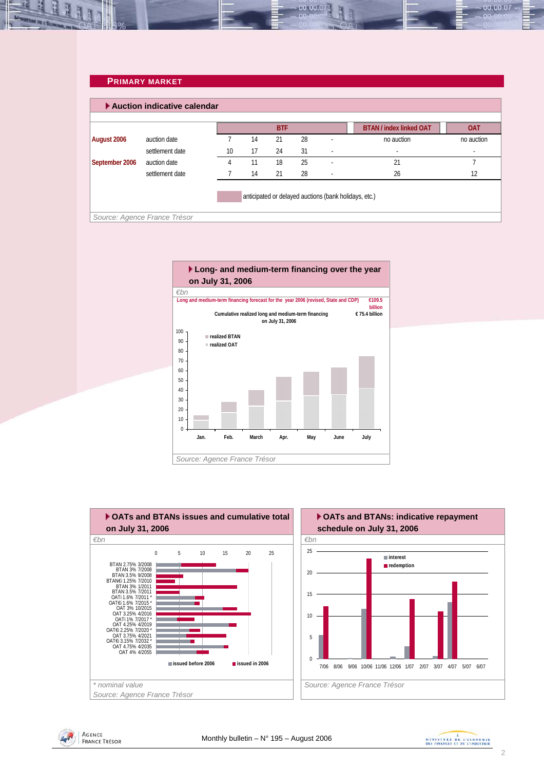### **PRIMARY MARKET**

<span id="page-1-0"></span>

|                | Auction indicative calendar  |    |    |            |    |                                                       |                                |            |
|----------------|------------------------------|----|----|------------|----|-------------------------------------------------------|--------------------------------|------------|
|                |                              |    |    | <b>BTF</b> |    |                                                       | <b>BTAN / index linked OAT</b> | <b>OAT</b> |
| August 2006    | auction date                 |    | 14 | 21         | 28 |                                                       | no auction                     | no auction |
|                | settlement date              | 10 | 17 | 24         | 31 | $\overline{\phantom{a}}$                              | $\overline{\phantom{a}}$       |            |
| September 2006 | auction date                 | 4  | 11 | 18         | 25 | и.                                                    | 21                             |            |
|                | settlement date              |    | 14 | 21         | 28 | $\overline{\phantom{a}}$                              | 26                             | 12         |
|                |                              |    |    |            |    | anticipated or delayed auctions (bank holidays, etc.) |                                |            |
|                | Source: Agence France Trésor |    |    |            |    |                                                       |                                |            |

00.00.0









00.00.07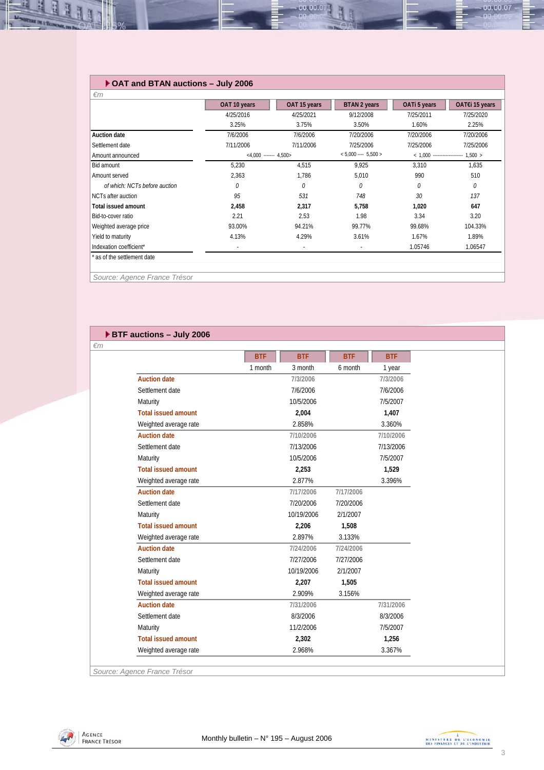### **OAT and BTAN auctions – July 2006**

|                               | OAT 10 years             | OAT 15 years | BTAN 2 years             | OATi 5 years                   | OAT€i 15 years |
|-------------------------------|--------------------------|--------------|--------------------------|--------------------------------|----------------|
|                               | 4/25/2016                | 4/25/2021    | 9/12/2008                | 7/25/2011                      | 7/25/2020      |
|                               | 3.25%                    | 3.75%        | 3.50%                    | 1.60%                          | 2.25%          |
| <b>Auction date</b>           | 7/6/2006                 | 7/6/2006     | 7/20/2006                | 7/20/2006                      | 7/20/2006      |
| Settlement date               | 7/11/2006                | 7/11/2006    | 7/25/2006                | 7/25/2006                      | 7/25/2006      |
| Amount announced              | $<4.000$ ------- 4.500>  |              | $< 5,000$ ---- 5,500 >   | $< 1.000$ -------------------- | 1.500 >        |
| Bid amount                    | 5,230                    | 4,515        | 9,925                    | 3.310                          | 1,635          |
| Amount served                 | 2,363                    | 1.786        | 5,010                    | 990                            | 510            |
| of which: NCTs before auction | $\theta$                 | $\theta$     | 0                        | 0                              | 0              |
| NCTs after auction            | 95                       | 531          | 748                      | 30                             | 137            |
| <b>Total issued amount</b>    | 2,458                    | 2,317        | 5,758                    | 1,020                          | 647            |
| Bid-to-cover ratio            | 2.21                     | 2.53         | 1.98                     | 3.34                           | 3.20           |
| Weighted average price        | 93.00%                   | 94.21%       | 99.77%                   | 99.68%                         | 104.33%        |
| Yield to maturity             | 4.13%                    | 4.29%        | 3.61%                    | 1.67%                          | 1.89%          |
| Indexation coefficient*       | $\overline{\phantom{a}}$ | $\sim$       | $\overline{\phantom{a}}$ | 1.05746                        | 1.06547        |

00.00.07

*Source: Agence France Trésor* 

### **BTF auctions – July 2006**

*€m*

|                            | <b>BTF</b> | <b>BTF</b> | <b>BTF</b> | <b>BTF</b> |
|----------------------------|------------|------------|------------|------------|
|                            | 1 month    | 3 month    | 6 month    | 1 year     |
| <b>Auction date</b>        |            | 7/3/2006   |            | 7/3/2006   |
| Settlement date            |            | 7/6/2006   |            | 7/6/2006   |
| Maturity                   |            | 10/5/2006  |            | 7/5/2007   |
| <b>Total issued amount</b> |            | 2.004      |            | 1.407      |
| Weighted average rate      |            | 2.858%     |            | 3.360%     |
| <b>Auction date</b>        |            | 7/10/2006  |            | 7/10/2006  |
| Settlement date            |            | 7/13/2006  |            | 7/13/2006  |
| Maturity                   |            | 10/5/2006  |            | 7/5/2007   |
| <b>Total issued amount</b> |            | 2,253      |            | 1,529      |
| Weighted average rate      |            | 2.877%     |            | 3.396%     |
| <b>Auction date</b>        |            | 7/17/2006  | 7/17/2006  |            |
| Settlement date            |            | 7/20/2006  | 7/20/2006  |            |
| Maturity                   |            | 10/19/2006 | 2/1/2007   |            |
| <b>Total issued amount</b> |            | 2.206      | 1,508      |            |
| Weighted average rate      |            | 2.897%     | 3.133%     |            |
| <b>Auction date</b>        |            | 7/24/2006  | 7/24/2006  |            |
| Settlement date            |            | 7/27/2006  | 7/27/2006  |            |
| Maturity                   |            | 10/19/2006 | 2/1/2007   |            |
| <b>Total issued amount</b> |            | 2,207      | 1,505      |            |
| Weighted average rate      |            | 2.909%     | 3.156%     |            |
| <b>Auction date</b>        |            | 7/31/2006  |            | 7/31/2006  |
| Settlement date            |            | 8/3/2006   |            | 8/3/2006   |
| Maturity                   |            | 11/2/2006  |            | 7/5/2007   |
| <b>Total issued amount</b> |            | 2,302      |            | 1,256      |
| Weighted average rate      |            | 2.968%     |            | 3.367%     |

*Source: Agence France Trésor* 





00.00.07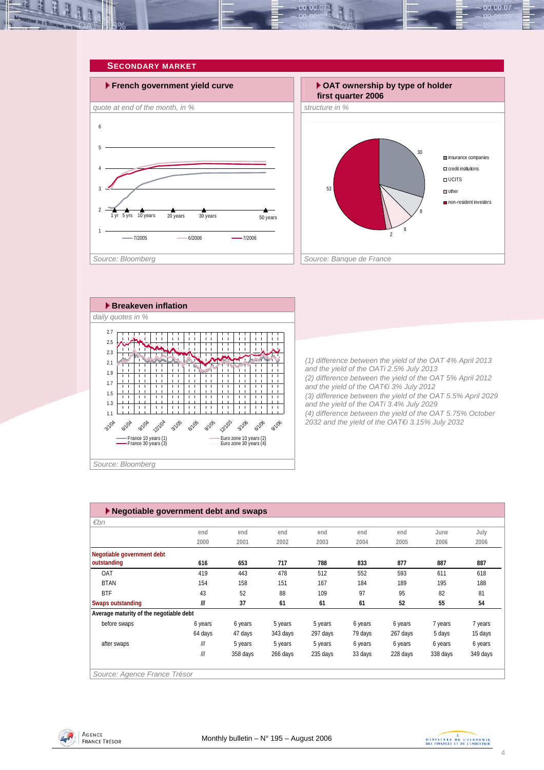<span id="page-3-0"></span>



|  | Source: Bloomberg |
|--|-------------------|
|--|-------------------|

| $\blacktriangleright$ Negotiable government debt and swaps |         |          |          |          |         |          |          |          |  |
|------------------------------------------------------------|---------|----------|----------|----------|---------|----------|----------|----------|--|
| $\varepsilon$ bn                                           |         |          |          |          |         |          |          |          |  |
|                                                            | end     | end      | end      | end      | end     | end      | June     | July     |  |
|                                                            | 2000    | 2001     | 2002     | 2003     | 2004    | 2005     | 2006     | 2006     |  |
| Negotiable government debt                                 |         |          |          |          |         |          |          |          |  |
| outstanding                                                | 616     | 653      | 717      | 788      | 833     | 877      | 887      | 887      |  |
| OAT                                                        | 419     | 443      | 478      | 512      | 552     | 593      | 611      | 618      |  |
| <b>BTAN</b>                                                | 154     | 158      | 151      | 167      | 184     | 189      | 195      | 188      |  |
| <b>BTF</b>                                                 | 43      | 52       | 88       | 109      | 97      | 95       | 82       | 81       |  |
| <b>Swaps outstanding</b>                                   | III     | 37       | 61       | 61       | 61      | 52       | 55       | 54       |  |
| Average maturity of the negotiable debt                    |         |          |          |          |         |          |          |          |  |
| before swaps                                               | 6 years | 6 years  | 5 years  | 5 years  | 6 years | 6 years  | 7 years  | 7 years  |  |
|                                                            | 64 days | 47 days  | 343 days | 297 days | 79 days | 267 days | 5 days   | 15 days  |  |
| after swaps                                                | III     | 5 years  | 5 years  | 5 years  | 6 years | 6 years  | 6 years  | 6 years  |  |
|                                                            | III     | 358 days | 266 days | 235 days | 33 days | 228 days | 338 days | 349 days |  |
|                                                            |         |          |          |          |         |          |          |          |  |
| Source: Agence France Trésor                               |         |          |          |          |         |          |          |          |  |



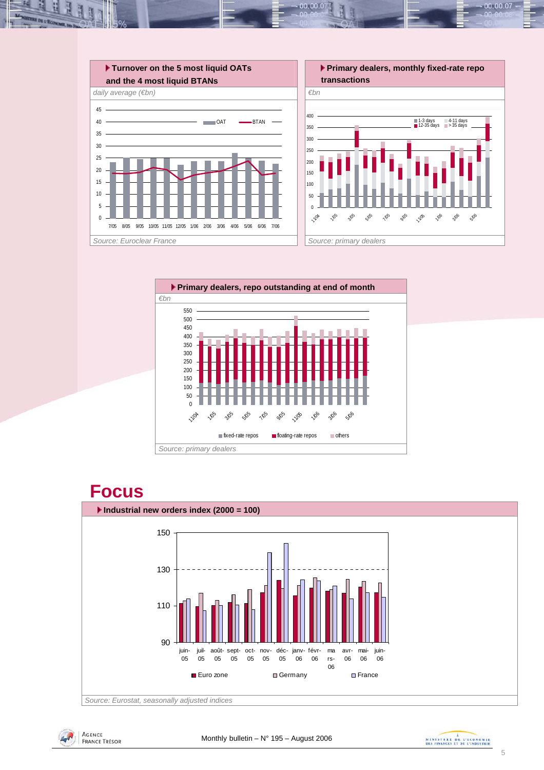



### **Focus**







 $00,00,07$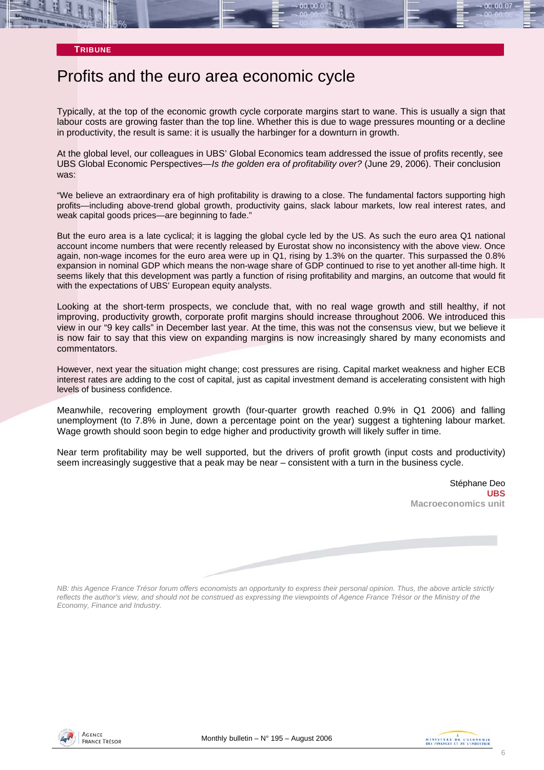### **TRIBUNE**

### Profits and the euro area economic cycle

Typically, at the top of the economic growth cycle corporate margins start to wane. This is usually a sign that labour costs are growing faster than the top line. Whether this is due to wage pressures mounting or a decline in productivity, the result is same: it is usually the harbinger for a downturn in growth.

At the global level, our colleagues in UBS' Global Economics team addressed the issue of profits recently, see UBS Global Economic Perspectives—*Is the golden era of profitability over?* (June 29, 2006). Their conclusion was:

"We believe an extraordinary era of high profitability is drawing to a close. The fundamental factors supporting high profits—including above-trend global growth, productivity gains, slack labour markets, low real interest rates, and weak capital goods prices—are beginning to fade."

But the euro area is a late cyclical; it is lagging the global cycle led by the US. As such the euro area Q1 national account income numbers that were recently released by Eurostat show no inconsistency with the above view. Once again, non-wage incomes for the euro area were up in Q1, rising by 1.3% on the quarter. This surpassed the 0.8% expansion in nominal GDP which means the non-wage share of GDP continued to rise to yet another all-time high. It seems likely that this development was partly a function of rising profitability and margins, an outcome that would fit with the expectations of UBS' European equity analysts.

Looking at the short-term prospects, we conclude that, with no real wage growth and still healthy, if not improving, productivity growth, corporate profit margins should increase throughout 2006. We introduced this view in our "9 key calls" in December last year. At the time, this was not the consensus view, but we believe it is now fair to say that this view on expanding margins is now increasingly shared by many economists and commentators.

However, next year the situation might change; cost pressures are rising. Capital market weakness and higher ECB interest rates are adding to the cost of capital, just as capital investment demand is accelerating consistent with high levels of business confidence.

Meanwhile, recovering employment growth (four-quarter growth reached 0.9% in Q1 2006) and falling unemployment (to 7.8% in June, down a percentage point on the year) suggest a tightening labour market. Wage growth should soon begin to edge higher and productivity growth will likely suffer in time.

Near term profitability may be well supported, but the drivers of profit growth (input costs and productivity) seem increasingly suggestive that a peak may be near – consistent with a turn in the business cycle.

> Stéphane Deo **UBS Macroeconomics unit**

*NB: this Agence France Trésor forum offers economists an opportunity to express their personal opinion. Thus, the above article strictly reflects the author's view, and should not be construed as expressing the viewpoints of Agence France Trésor or the Ministry of the Economy, Finance and Industry.* 



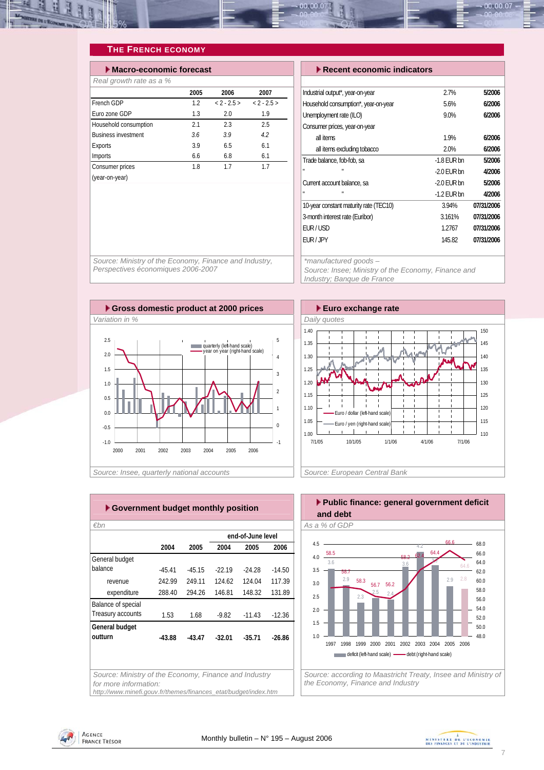<span id="page-6-0"></span>

### **THE FRENCH ECONOMY**

| Macro-economic forecast    |      |               |               |  |  |  |  |  |  |
|----------------------------|------|---------------|---------------|--|--|--|--|--|--|
| Real growth rate as a %    |      |               |               |  |  |  |  |  |  |
|                            | 2005 | 2006          | 2007          |  |  |  |  |  |  |
| French GDP                 | 12   | $< 2 - 2.5 >$ | $< 2 - 2.5 >$ |  |  |  |  |  |  |
| Euro zone GDP              | 1.3  | 2.0           | 1.9           |  |  |  |  |  |  |
| Household consumption      | 2.1  | 23            | 2.5           |  |  |  |  |  |  |
| <b>Business investment</b> | 3.6  | 3.9           | 4.2           |  |  |  |  |  |  |
| Exports                    | 3.9  | 6.5           | 6.1           |  |  |  |  |  |  |
| Imports                    | 6.6  | 6.8           | 6.1           |  |  |  |  |  |  |
| Consumer prices            | 1.8  | 17            | 17            |  |  |  |  |  |  |
| (year-on-year)             |      |               |               |  |  |  |  |  |  |

| r Recent economic mulcators            |               |            |  |  |  |  |
|----------------------------------------|---------------|------------|--|--|--|--|
|                                        |               |            |  |  |  |  |
| Industrial output*, year-on-year       | 2.7%          | 5/2006     |  |  |  |  |
| Household consumption*, year-on-year   | 5.6%          | 6/2006     |  |  |  |  |
| Unemployment rate (ILO)                | 9.0%          | 6/2006     |  |  |  |  |
| Consumer prices, year-on-year          |               |            |  |  |  |  |
| all items                              | 1.9%          | 6/2006     |  |  |  |  |
| all items excluding tobacco            | 2.0%          | 6/2006     |  |  |  |  |
| Trade balance, fob-fob, sa             | $-1.8$ EUR bn | 5/2006     |  |  |  |  |
| H.<br>H.                               | $-2.0$ EUR bn | 4/2006     |  |  |  |  |
| Current account balance, sa            | $-2.0$ EUR bn | 5/2006     |  |  |  |  |
| п<br>п                                 | $-1.2$ EUR bn | 4/2006     |  |  |  |  |
| 10-year constant maturity rate (TEC10) | 3.94%         | 07/31/2006 |  |  |  |  |
| 3-month interest rate (Euribor)        | 3.161%        | 07/31/2006 |  |  |  |  |
| <b>EUR/USD</b>                         | 1.2767        | 07/31/2006 |  |  |  |  |
| <b>EUR/JPY</b>                         | 145.82        | 07/31/2006 |  |  |  |  |
|                                        |               |            |  |  |  |  |

 **Macro-economic forecast Recent economic indicators** 

*Source: Ministry of the Economy, Finance and Industry, Perspectives économiques 2006-2007* 

*\*manufactured goods – Source: Insee; Ministry of the Economy, Finance and Industry; Banque de France* 





| €bn                |          |          |          | end-of-June level |          |
|--------------------|----------|----------|----------|-------------------|----------|
|                    | 2004     | 2005     | 2004     | 2005              | 2006     |
| General budget     |          |          |          |                   |          |
| balance            | $-45.41$ | $-45.15$ | $-22.19$ | $-24.28$          | $-14.50$ |
| revenue            | 242.99   | 249.11   | 124.62   | 124.04            | 117.39   |
| expenditure        | 288.40   | 294.26   | 146.81   | 148.32            | 131.89   |
| Balance of special |          |          |          |                   |          |
| Treasury accounts  | 1.53     | 1.68     | $-9.82$  | $-11.43$          | $-12.36$ |
| General budget     |          |          |          |                   |          |
| outturn            | $-43.88$ | $-43.47$ | $-32.01$ | $-35.71$          | $-26.86$ |
|                    |          |          |          |                   |          |
|                    |          |          |          |                   |          |

*http://www.minefi.gouv.fr/themes/finances\_etat/budget/index.htm*



*the Economy, Finance and Industry* 



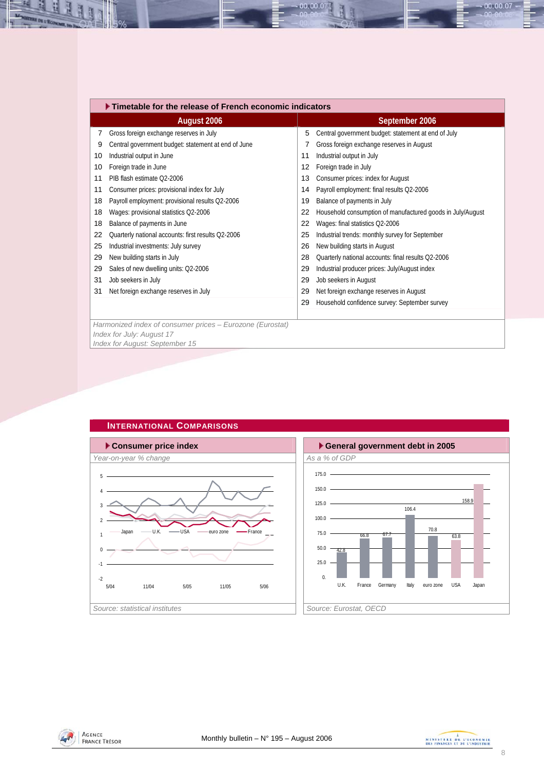<span id="page-7-0"></span>

|    | $\blacktriangleright$ Timetable for the release of French economic indicators |    |                                                            |  |  |  |  |  |
|----|-------------------------------------------------------------------------------|----|------------------------------------------------------------|--|--|--|--|--|
|    | August 2006                                                                   |    | September 2006                                             |  |  |  |  |  |
| 7  | Gross foreign exchange reserves in July                                       | 5  | Central government budget: statement at end of July        |  |  |  |  |  |
| 9  | Central government budget: statement at end of June                           |    | Gross foreign exchange reserves in August                  |  |  |  |  |  |
| 10 | Industrial output in June                                                     | 11 | Industrial output in July                                  |  |  |  |  |  |
| 10 | Foreign trade in June                                                         | 12 | Foreign trade in July                                      |  |  |  |  |  |
| 11 | PIB flash estimate Q2-2006                                                    | 13 | Consumer prices: index for August                          |  |  |  |  |  |
| 11 | Consumer prices: provisional index for July                                   | 14 | Payroll employment: final results Q2-2006                  |  |  |  |  |  |
| 18 | Payroll employment: provisional results Q2-2006                               | 19 | Balance of payments in July                                |  |  |  |  |  |
| 18 | Wages: provisional statistics Q2-2006                                         | 22 | Household consumption of manufactured goods in July/August |  |  |  |  |  |
| 18 | Balance of payments in June                                                   | 22 | Wages: final statistics Q2-2006                            |  |  |  |  |  |
| 22 | Quarterly national accounts: first results Q2-2006                            | 25 | Industrial trends: monthly survey for September            |  |  |  |  |  |
| 25 | Industrial investments: July survey                                           | 26 | New building starts in August                              |  |  |  |  |  |
| 29 | New building starts in July                                                   | 28 | Quarterly national accounts: final results Q2-2006         |  |  |  |  |  |
| 29 | Sales of new dwelling units: Q2-2006                                          | 29 | Industrial producer prices: July/August index              |  |  |  |  |  |
| 31 | Job seekers in July                                                           | 29 | Job seekers in August                                      |  |  |  |  |  |
| 31 | Net foreign exchange reserves in July                                         | 29 | Net foreign exchange reserves in August                    |  |  |  |  |  |
|    |                                                                               | 29 | Household confidence survey: September survey              |  |  |  |  |  |
|    |                                                                               |    |                                                            |  |  |  |  |  |
|    | Harmonized index of consumer prices - Eurozone (Eurostat)                     |    |                                                            |  |  |  |  |  |
|    | Index for July: August 17                                                     |    |                                                            |  |  |  |  |  |
|    | Index for August: September 15                                                |    |                                                            |  |  |  |  |  |

00.00.0



### **INTERNATIONAL COMPARISONS**





00.00.07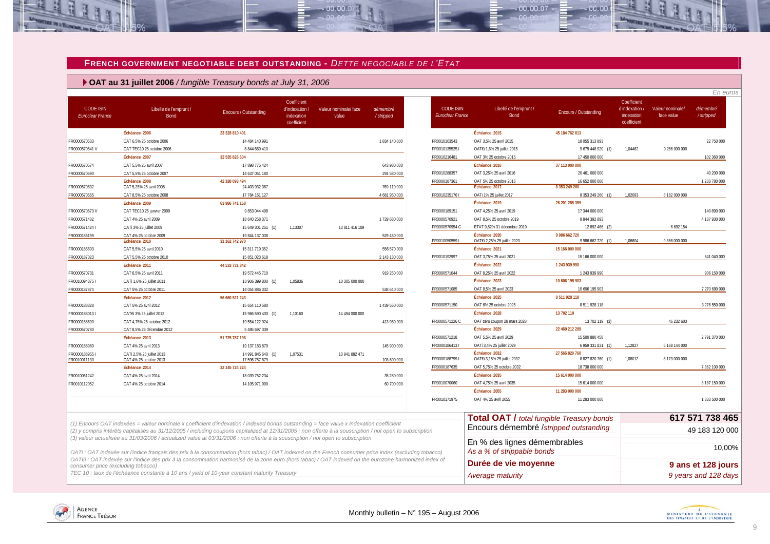#### **FRENCH GOVERNMENT NEGOTIABLE DEBT OUTSTANDING -** *DETTE NEGOCIABLE DE L'ETAT*

 $-00.00.07$ 

 **OAT au 31 juillet 2006** */ fungible Treasury bonds at July 31, 2006*

| <b>CODE ISIN</b><br><b>Euroclear France</b> | Libellé de l'emprunt /<br><b>Bond</b>                                                                                                                                                                                                                                                               | Encours / Outstanding                | Coefficient<br>d'indexation.<br>indexation<br>coefficient | Valeur nominale/ face<br>value | démembré<br>/stripped | <b>CODE ISIN</b><br>Euroclear France | Libellé de l'emprunt /<br>Bond                             | Encours / Outstanding               | Coefficient<br>d'indexation /<br>indexation<br>coefficient | Valeur nominale/<br>face value | démembré<br>/stripped |
|---------------------------------------------|-----------------------------------------------------------------------------------------------------------------------------------------------------------------------------------------------------------------------------------------------------------------------------------------------------|--------------------------------------|-----------------------------------------------------------|--------------------------------|-----------------------|--------------------------------------|------------------------------------------------------------|-------------------------------------|------------------------------------------------------------|--------------------------------|-----------------------|
|                                             | Échéance 2006                                                                                                                                                                                                                                                                                       | 23 328 810 401                       |                                                           |                                |                       |                                      | Échéance 2015                                              | 45 184 762 813                      |                                                            |                                |                       |
| FR0000570533                                | OAT 6.5% 25 octobre 2006                                                                                                                                                                                                                                                                            | 14 484 140 991                       |                                                           |                                | 1834140000            | FR0010163543                         | OAT 3,5% 25 avril 2015                                     | 18 055 313 893                      |                                                            |                                | 22 750 000            |
| FR0000570541 V                              | OAT TEC10 25 octobre 2006                                                                                                                                                                                                                                                                           | 8844 669 410                         |                                                           |                                |                       | FR0010135525                         | OAT€i 1,6% 25 juillet 2015                                 | 9 679 448 920 (1)                   | 1.04462                                                    | 9 266 000 000                  |                       |
|                                             | Échéance 2007                                                                                                                                                                                                                                                                                       | 32 535 826 604                       |                                                           |                                |                       | FR0010216481                         | OAT 3% 25 octobre 2015                                     | 17 450 000 000                      |                                                            |                                | 102 360 000           |
| R0000570574                                 | OAT 5,5% 25 avril 2007                                                                                                                                                                                                                                                                              | 17 898 775 424                       |                                                           |                                | 643 980 000           |                                      | Échéance 2016                                              | 37 113 000 000                      |                                                            |                                |                       |
| FR0000570590                                | OAT 5.5% 25 octobre 2007                                                                                                                                                                                                                                                                            | 14 637 051 180                       |                                                           |                                | 291 580 000           | FR0010288357                         | OAT 3.25% 25 avril 2016                                    | 20 461 000 000                      |                                                            |                                | 40 200 000            |
|                                             | Échéance 2008                                                                                                                                                                                                                                                                                       | 42 188 093 494                       |                                                           |                                |                       | FR0000187361                         | OAT 5% 25 octobre 2016                                     | 16 652 000 000                      |                                                            |                                | 1 233 780 000         |
| FR0000570632                                | OAT 5,25% 25 avril 2008                                                                                                                                                                                                                                                                             | 24 403 932 367                       |                                                           |                                | 769 110 000           |                                      | Échéance 2017                                              | 8 353 249 260                       |                                                            |                                |                       |
| FR0000570665                                | OAT 8,5% 25 octobre 2008                                                                                                                                                                                                                                                                            | 17 784 161 127                       |                                                           |                                | 4 681 950 000         | FR00102351761                        | OATi 1% 25 juillet 2017                                    | 8 353 249 260 (1)                   | 1.02093                                                    | 8 182 000 000                  |                       |
|                                             | Échéance 2009                                                                                                                                                                                                                                                                                       | 63 986 741 158                       |                                                           |                                |                       |                                      | Échéance 2019                                              | 26 201 285 359                      |                                                            |                                |                       |
| FR0000570673V                               | OAT TEC10 25 janvier 2009                                                                                                                                                                                                                                                                           | 9853044498                           |                                                           |                                |                       | FR0000189151                         | OAT 4,25% 25 avril 2019                                    | 17 344 000 000                      |                                                            |                                | 140 890 000           |
| FR0000571432                                | OAT 4% 25 avril 2009                                                                                                                                                                                                                                                                                | 18 640 258 371                       |                                                           |                                | 1 729 680 000         | FR0000570921                         | OAT 8.5% 25 octobre 2019                                   | 8844392893                          |                                                            |                                | 4 137 930 000         |
| FR0000571424 I                              | OATi 3% 25 juillet 2009                                                                                                                                                                                                                                                                             | 15 649 301 251 (1)                   | 1,13307                                                   | 13 811 416 109                 |                       | FR0000570954 C                       | ETAT 9,82% 31 décembre 2019                                | 12 892 466 (2)                      |                                                            | 6 692 154                      |                       |
| FR0000186199                                | OAT 4% 25 octobre 2009                                                                                                                                                                                                                                                                              | 19 844 137 038                       |                                                           |                                | 529 450 000           | FR0010050559                         | Échéance 2020<br>OAT€i 2,25% 25 juillet 2020               | 9 986 662 720<br>9 986 662 720 (1)  | 1.06604                                                    | 9 368 000 000                  |                       |
|                                             | Échéance 2010                                                                                                                                                                                                                                                                                       | 31 162 742 970                       |                                                           |                                |                       |                                      | Échéance 2021                                              |                                     |                                                            |                                |                       |
| FR0000186603<br>FR0000187023                | OAT 5,5% 25 avril 2010                                                                                                                                                                                                                                                                              | 15 311 719 352                       |                                                           |                                | 556 570 000           | FR0010192997                         | OAT 3,75% 25 avril 2021                                    | 15 166 000 000<br>15 166 000 000    |                                                            |                                | 541 040 000           |
|                                             | OAT 5,5% 25 octobre 2010                                                                                                                                                                                                                                                                            | 15 851 023 618                       |                                                           |                                | 2 143 130 000         |                                      | Échéance 2022                                              | 1 243 939 990                       |                                                            |                                |                       |
|                                             | Échéance 2011                                                                                                                                                                                                                                                                                       | 44 533 731 842                       |                                                           |                                |                       | FR0000571044                         |                                                            | 1 243 939 990                       |                                                            |                                | 906 150 000           |
| FR0000570731                                | OAT 6,5% 25 avril 2011                                                                                                                                                                                                                                                                              | 19 572 445 710                       |                                                           |                                | 919 250 000           |                                      | OAT 8,25% 25 avril 2022                                    |                                     |                                                            |                                |                       |
| FR00100943751                               | OATi 1,6% 25 juillet 2011                                                                                                                                                                                                                                                                           | 10 906 399 800 (1)                   | 1,05836                                                   | 10 305 000 000                 |                       |                                      | Échéance 2023                                              | 10 606 195 903                      |                                                            |                                |                       |
| FR0000187874                                | OAT 5% 25 octobre 2011                                                                                                                                                                                                                                                                              | 14 054 886 332                       |                                                           |                                | 538 640 000           | FR0000571085                         | OAT 8,5% 25 avril 2023                                     | 10 606 195 903                      |                                                            |                                | 7 270 690 000         |
|                                             | Échéance 2012                                                                                                                                                                                                                                                                                       | 56 660 521 243                       |                                                           |                                |                       |                                      | Échéance 2025                                              | 8 511 928 118                       |                                                            |                                |                       |
| FR0000188328                                | OAT 5% 25 avril 2012                                                                                                                                                                                                                                                                                | 15 654 110 580                       |                                                           |                                | 1 439 550 000         | FR0000571150                         | OAT 6% 25 octobre 2025                                     | 8511928118                          |                                                            |                                | 3 276 550 000         |
| FR00001880131                               | OAT€i 3% 25 juillet 2012                                                                                                                                                                                                                                                                            | 15 966 590 400 (1)                   | 1,10160                                                   | 14 494 000 000                 |                       |                                      | Échéance 2028                                              | 13 702 119                          |                                                            |                                |                       |
| FR0000188690                                | OAT 4,75% 25 octobre 2012                                                                                                                                                                                                                                                                           | 19 554 122 924                       |                                                           |                                | 413 950 000           | FR0000571226 C                       | OAT zéro coupon 28 mars 2028<br>Échéance 2029              | 13 702 119 (3)<br>22 460 212 289    |                                                            | 46 232 603                     |                       |
| FR0000570780                                | OAT 8.5% 26 décembre 2012                                                                                                                                                                                                                                                                           | 5 485 697 339                        |                                                           |                                |                       |                                      |                                                            |                                     |                                                            |                                |                       |
|                                             | Échéance 2013                                                                                                                                                                                                                                                                                       | 51 725 787 198                       |                                                           |                                |                       | FR0000571218                         | OAT 5.5% 25 avril 2029                                     | 15 500 880 458                      |                                                            |                                | 2 791 370 000         |
| FR0000188989                                | OAT 4% 25 avril 2013                                                                                                                                                                                                                                                                                | 19 137 183 879                       |                                                           |                                | 145 900 000           | FR00001864131                        | OATi 3,4% 25 juillet 2029                                  | 6 959 331 831 (1)                   | 1,12827                                                    | 6 168 144 000                  |                       |
| FR00001889551<br>FR0010011130               | OATi 2,5% 25 juillet 2013<br>OAT 4% 25 octobre 2013                                                                                                                                                                                                                                                 | 14 991 845 640 (1)<br>17 596 757 679 | 1,07531                                                   | 13 941 882 471                 | 103 800 000           | FR00001887991                        | Échéance 2032<br>OAT€i 3,15% 25 juillet 2032               | 27 565 820 760<br>8 827 820 760 (1) | 1,08012                                                    | 8 173 000 000                  |                       |
|                                             | Échéance 2014                                                                                                                                                                                                                                                                                       | 32 145 724 224                       |                                                           |                                |                       | FR0000187635                         | OAT 5,75% 25 octobre 2032                                  | 18 738 000 000                      |                                                            |                                | 7 362 100 000         |
| FR0010061242                                | OAT 4% 25 avril 2014                                                                                                                                                                                                                                                                                | 18 039 752 234                       |                                                           |                                | 35 280 000            |                                      | Échéance 2035                                              | 15 614 000 000                      |                                                            |                                |                       |
| FR0010112052                                | OAT 4% 25 octobre 2014                                                                                                                                                                                                                                                                              | 14 105 971 990                       |                                                           |                                | 60 700 000            | FR0010070060                         | OAT 4,75% 25 avril 2035                                    | 15 614 000 000                      |                                                            |                                | 3 187 150 000         |
|                                             |                                                                                                                                                                                                                                                                                                     |                                      |                                                           |                                |                       |                                      | Échéance 2055                                              | 11 283 000 000                      |                                                            |                                |                       |
|                                             |                                                                                                                                                                                                                                                                                                     |                                      |                                                           |                                |                       | FR0010171975                         | OAT 4% 25 avril 2055                                       | 11 283 000 000                      |                                                            |                                | 1 333 500 000         |
|                                             |                                                                                                                                                                                                                                                                                                     |                                      |                                                           |                                |                       |                                      | <b>Total OAT / total fungible Treasury bonds</b>           |                                     |                                                            |                                | 617 571 738 465       |
|                                             | (1) Encours OAT indexées = valeur nominale x coefficient d'indexation / indexed bonds outstanding = face value x indexation coefficient<br>(2) y compris intérêts capitalisés au 31/12/2005 / including coupons capitalized at 12/31/2005; non offerte à la souscription / not open to subscription |                                      |                                                           |                                |                       |                                      | Encours démembré /stripped outstanding                     |                                     |                                                            |                                | 49 183 120 000        |
|                                             | (3) valeur actualisée au 31/03/2006 / actualized value at 03/31/2006 ; non offerte à la souscription / not open to subscription<br>OATi: OAT indexée sur l'indice français des prix à la consommation (hors tabac) / OAT indexed on the French consumer price index (excluding tobacco)             |                                      |                                                           |                                |                       |                                      | En % des lignes démembrables<br>As a % of strippable bonds |                                     |                                                            |                                | 10.00%                |
| consumer price (excluding tobacco)          | OAT€i : OAT indexée sur l'indice des prix à la consommation harmonisé de la zone euro (hors tabac) / OAT indexed on the eurozone harmonized index of                                                                                                                                                |                                      |                                                           |                                |                       |                                      | Durée de vie moyenne                                       |                                     |                                                            |                                | 9 ans et 128 jours    |
|                                             | TEC 10 : taux de l'échéance constante à 10 ans / yield of 10-year constant maturity Treasury                                                                                                                                                                                                        |                                      |                                                           |                                |                       |                                      | Average maturity                                           |                                     |                                                            |                                | 9 years and 128 days  |

00:00:07

 $00,00$ 

<span id="page-8-0"></span>

**SER PE L'ÉCON**